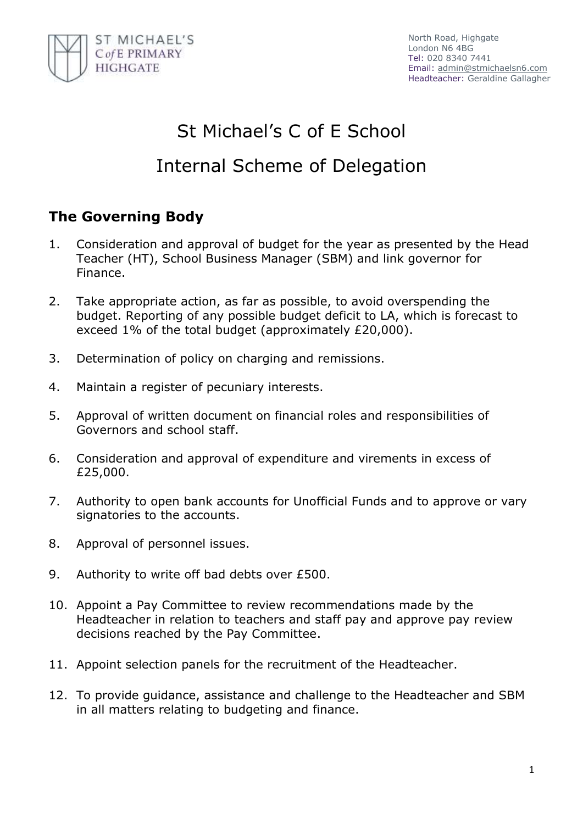

# St Michael's C of E School

# Internal Scheme of Delegation

## **The Governing Body**

- 1. Consideration and approval of budget for the year as presented by the Head Teacher (HT), School Business Manager (SBM) and link governor for Finance.
- 2. Take appropriate action, as far as possible, to avoid overspending the budget. Reporting of any possible budget deficit to LA, which is forecast to exceed 1% of the total budget (approximately £20,000).
- 3. Determination of policy on charging and remissions.
- 4. Maintain a register of pecuniary interests.
- 5. Approval of written document on financial roles and responsibilities of Governors and school staff.
- 6. Consideration and approval of expenditure and virements in excess of £25,000.
- 7. Authority to open bank accounts for Unofficial Funds and to approve or vary signatories to the accounts.
- 8. Approval of personnel issues.
- 9. Authority to write off bad debts over £500.
- 10. Appoint a Pay Committee to review recommendations made by the Headteacher in relation to teachers and staff pay and approve pay review decisions reached by the Pay Committee.
- 11. Appoint selection panels for the recruitment of the Headteacher.
- 12. To provide guidance, assistance and challenge to the Headteacher and SBM in all matters relating to budgeting and finance.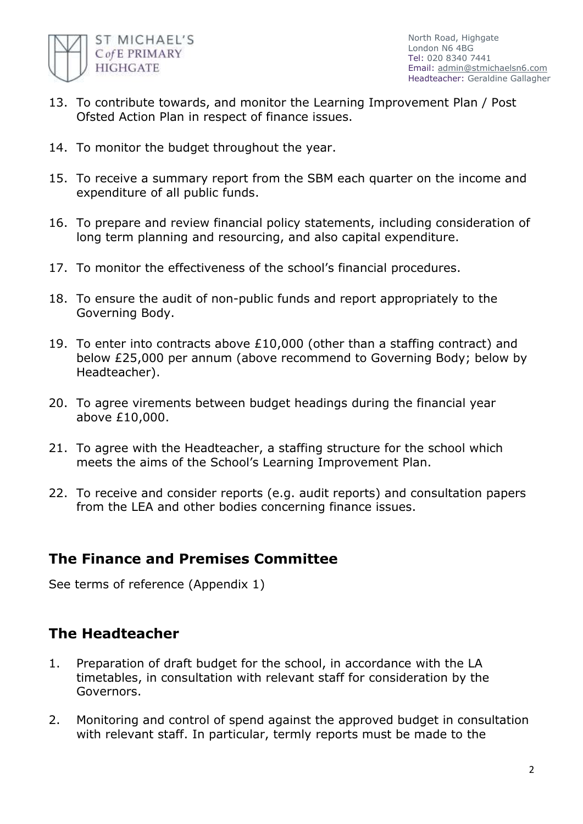

- 13. To contribute towards, and monitor the Learning Improvement Plan / Post Ofsted Action Plan in respect of finance issues.
- 14. To monitor the budget throughout the year.
- 15. To receive a summary report from the SBM each quarter on the income and expenditure of all public funds.
- 16. To prepare and review financial policy statements, including consideration of long term planning and resourcing, and also capital expenditure.
- 17. To monitor the effectiveness of the school's financial procedures.
- 18. To ensure the audit of non-public funds and report appropriately to the Governing Body.
- 19. To enter into contracts above £10,000 (other than a staffing contract) and below £25,000 per annum (above recommend to Governing Body; below by Headteacher).
- 20. To agree virements between budget headings during the financial year above £10,000.
- 21. To agree with the Headteacher, a staffing structure for the school which meets the aims of the School's Learning Improvement Plan.
- 22. To receive and consider reports (e.g. audit reports) and consultation papers from the LEA and other bodies concerning finance issues.

### **The Finance and Premises Committee**

See terms of reference (Appendix 1)

### **The Headteacher**

- 1. Preparation of draft budget for the school, in accordance with the LA timetables, in consultation with relevant staff for consideration by the Governors.
- 2. Monitoring and control of spend against the approved budget in consultation with relevant staff. In particular, termly reports must be made to the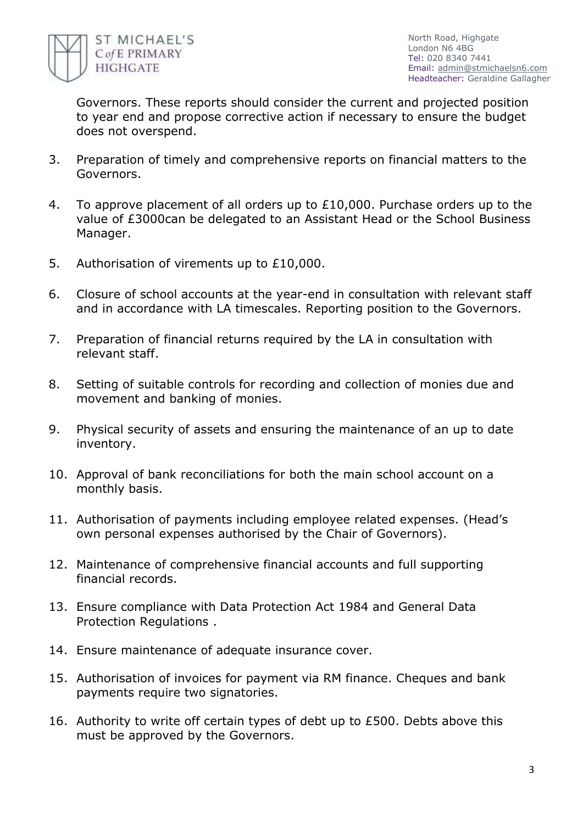

Governors. These reports should consider the current and projected position to year end and propose corrective action if necessary to ensure the budget does not overspend.

- 3. Preparation of timely and comprehensive reports on financial matters to the Governors.
- 4. To approve placement of all orders up to £10,000. Purchase orders up to the value of £3000can be delegated to an Assistant Head or the School Business Manager.
- 5. Authorisation of virements up to £10,000.
- 6. Closure of school accounts at the year-end in consultation with relevant staff and in accordance with LA timescales. Reporting position to the Governors.
- 7. Preparation of financial returns required by the LA in consultation with relevant staff.
- 8. Setting of suitable controls for recording and collection of monies due and movement and banking of monies.
- 9. Physical security of assets and ensuring the maintenance of an up to date inventory.
- 10. Approval of bank reconciliations for both the main school account on a monthly basis.
- 11. Authorisation of payments including employee related expenses. (Head's own personal expenses authorised by the Chair of Governors).
- 12. Maintenance of comprehensive financial accounts and full supporting financial records.
- 13. Ensure compliance with Data Protection Act 1984 and General Data Protection Regulations .
- 14. Ensure maintenance of adequate insurance cover.
- 15. Authorisation of invoices for payment via RM finance. Cheques and bank payments require two signatories.
- 16. Authority to write off certain types of debt up to £500. Debts above this must be approved by the Governors.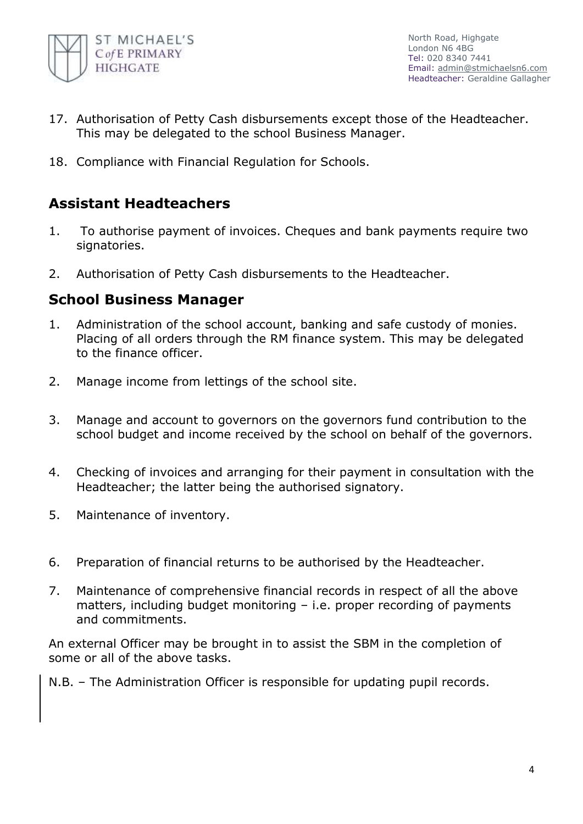

- 17. Authorisation of Petty Cash disbursements except those of the Headteacher. This may be delegated to the school Business Manager.
- 18. Compliance with Financial Regulation for Schools.

### **Assistant Headteachers**

- 1. To authorise payment of invoices. Cheques and bank payments require two signatories.
- 2. Authorisation of Petty Cash disbursements to the Headteacher.

### **School Business Manager**

- 1. Administration of the school account, banking and safe custody of monies. Placing of all orders through the RM finance system. This may be delegated to the finance officer.
- 2. Manage income from lettings of the school site.
- 3. Manage and account to governors on the governors fund contribution to the school budget and income received by the school on behalf of the governors.
- 4. Checking of invoices and arranging for their payment in consultation with the Headteacher; the latter being the authorised signatory.
- 5. Maintenance of inventory.
- 6. Preparation of financial returns to be authorised by the Headteacher.
- 7. Maintenance of comprehensive financial records in respect of all the above matters, including budget monitoring – i.e. proper recording of payments and commitments.

An external Officer may be brought in to assist the SBM in the completion of some or all of the above tasks.

N.B. – The Administration Officer is responsible for updating pupil records.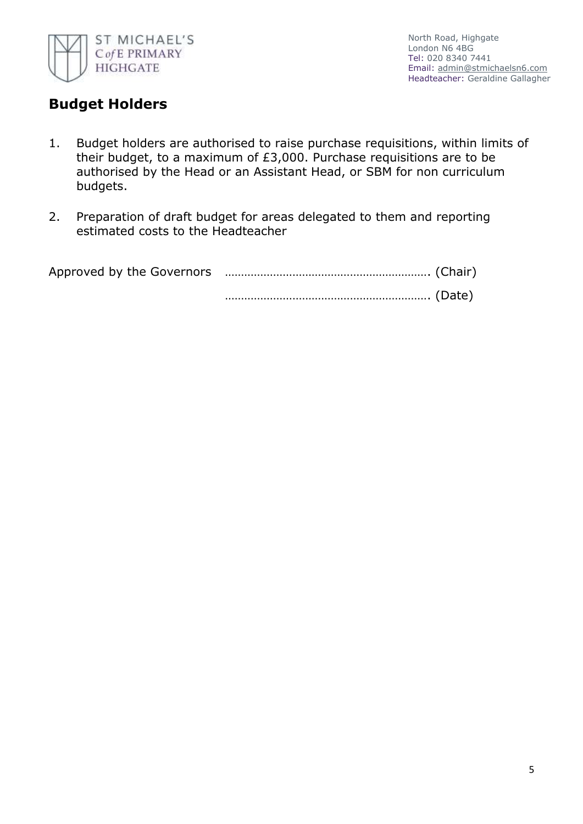

### **Budget Holders**

- 1. Budget holders are authorised to raise purchase requisitions, within limits of their budget, to a maximum of £3,000. Purchase requisitions are to be authorised by the Head or an Assistant Head, or SBM for non curriculum budgets.
- 2. Preparation of draft budget for areas delegated to them and reporting estimated costs to the Headteacher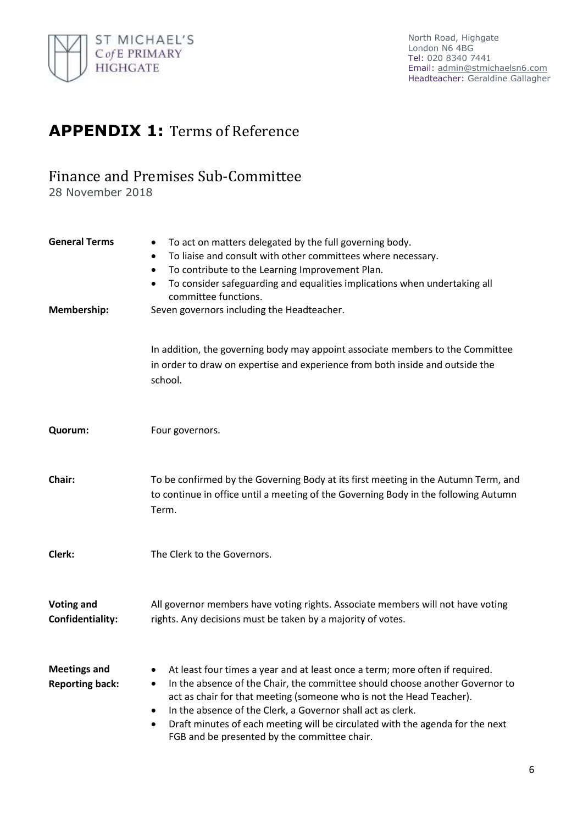

# **APPENDIX 1:** Terms of Reference

### Finance and Premises Sub-Committee

28 November 2018

| <b>General Terms</b><br>Membership:           | To act on matters delegated by the full governing body.<br>٠<br>To liaise and consult with other committees where necessary.<br>٠<br>To contribute to the Learning Improvement Plan.<br>$\bullet$<br>To consider safeguarding and equalities implications when undertaking all<br>٠<br>committee functions.<br>Seven governors including the Headteacher.                                                                                           |
|-----------------------------------------------|-----------------------------------------------------------------------------------------------------------------------------------------------------------------------------------------------------------------------------------------------------------------------------------------------------------------------------------------------------------------------------------------------------------------------------------------------------|
|                                               | In addition, the governing body may appoint associate members to the Committee<br>in order to draw on expertise and experience from both inside and outside the<br>school.                                                                                                                                                                                                                                                                          |
| Quorum:                                       | Four governors.                                                                                                                                                                                                                                                                                                                                                                                                                                     |
| Chair:                                        | To be confirmed by the Governing Body at its first meeting in the Autumn Term, and<br>to continue in office until a meeting of the Governing Body in the following Autumn<br>Term.                                                                                                                                                                                                                                                                  |
| Clerk:                                        | The Clerk to the Governors.                                                                                                                                                                                                                                                                                                                                                                                                                         |
| <b>Voting and</b><br>Confidentiality:         | All governor members have voting rights. Associate members will not have voting<br>rights. Any decisions must be taken by a majority of votes.                                                                                                                                                                                                                                                                                                      |
| <b>Meetings and</b><br><b>Reporting back:</b> | At least four times a year and at least once a term; more often if required.<br>٠<br>In the absence of the Chair, the committee should choose another Governor to<br>٠<br>act as chair for that meeting (someone who is not the Head Teacher).<br>In the absence of the Clerk, a Governor shall act as clerk.<br>٠<br>Draft minutes of each meeting will be circulated with the agenda for the next<br>FGB and be presented by the committee chair. |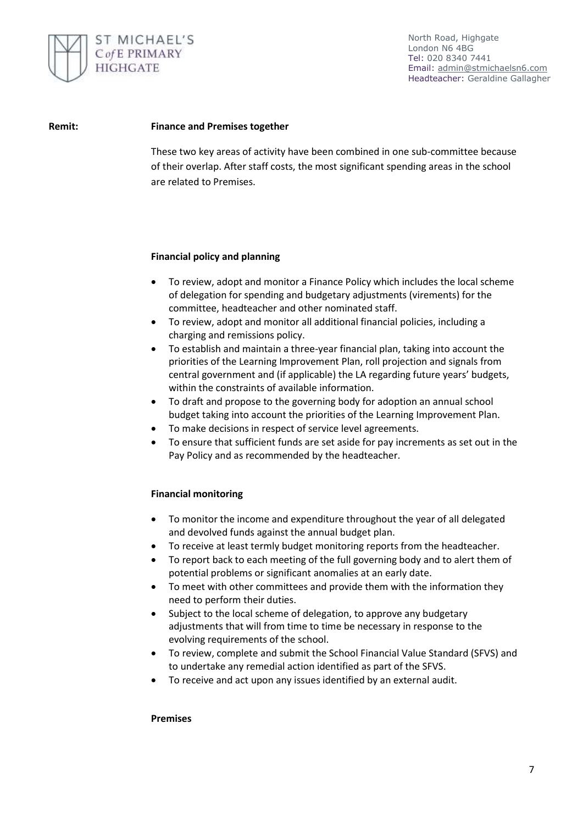

#### **Remit: Finance and Premises together**

These two key areas of activity have been combined in one sub-committee because of their overlap. After staff costs, the most significant spending areas in the school are related to Premises.

#### **Financial policy and planning**

- To review, adopt and monitor a Finance Policy which includes the local scheme of delegation for spending and budgetary adjustments (virements) for the committee, headteacher and other nominated staff.
- To review, adopt and monitor all additional financial policies, including a charging and remissions policy.
- To establish and maintain a three-year financial plan, taking into account the priorities of the Learning Improvement Plan, roll projection and signals from central government and (if applicable) the LA regarding future years' budgets, within the constraints of available information.
- To draft and propose to the governing body for adoption an annual school budget taking into account the priorities of the Learning Improvement Plan.
- To make decisions in respect of service level agreements.
- To ensure that sufficient funds are set aside for pay increments as set out in the Pay Policy and as recommended by the headteacher.

#### **Financial monitoring**

- To monitor the income and expenditure throughout the year of all delegated and devolved funds against the annual budget plan.
- To receive at least termly budget monitoring reports from the headteacher.
- To report back to each meeting of the full governing body and to alert them of potential problems or significant anomalies at an early date.
- To meet with other committees and provide them with the information they need to perform their duties.
- Subject to the local scheme of delegation, to approve any budgetary adjustments that will from time to time be necessary in response to the evolving requirements of the school.
- To review, complete and submit the School Financial Value Standard (SFVS) and to undertake any remedial action identified as part of the SFVS.
- To receive and act upon any issues identified by an external audit.

#### **Premises**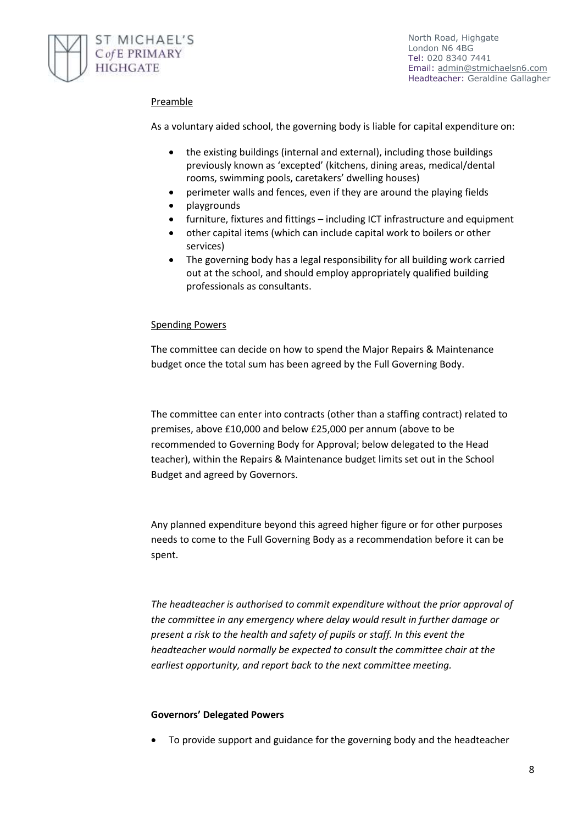

### Preamble

As a voluntary aided school, the governing body is liable for capital expenditure on:

- the existing buildings (internal and external), including those buildings previously known as 'excepted' (kitchens, dining areas, medical/dental rooms, swimming pools, caretakers' dwelling houses)
- perimeter walls and fences, even if they are around the playing fields
- playgrounds
- furniture, fixtures and fittings including ICT infrastructure and equipment
- other capital items (which can include capital work to boilers or other services)
- The governing body has a legal responsibility for all building work carried out at the school, and should employ appropriately qualified building professionals as consultants.

#### Spending Powers

The committee can decide on how to spend the Major Repairs & Maintenance budget once the total sum has been agreed by the Full Governing Body.

The committee can enter into contracts (other than a staffing contract) related to premises, above £10,000 and below £25,000 per annum (above to be recommended to Governing Body for Approval; below delegated to the Head teacher), within the Repairs & Maintenance budget limits set out in the School Budget and agreed by Governors.

Any planned expenditure beyond this agreed higher figure or for other purposes needs to come to the Full Governing Body as a recommendation before it can be spent.

*The headteacher is authorised to commit expenditure without the prior approval of the committee in any emergency where delay would result in further damage or present a risk to the health and safety of pupils or staff. In this event the headteacher would normally be expected to consult the committee chair at the earliest opportunity, and report back to the next committee meeting.* 

#### **Governors' Delegated Powers**

To provide support and guidance for the governing body and the headteacher